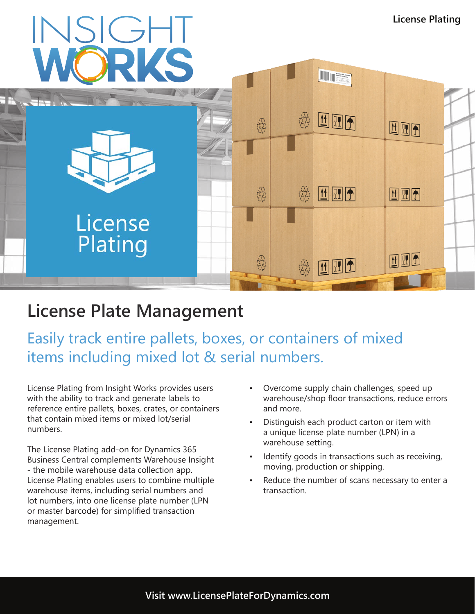

## **License Plate Management**

Easily track entire pallets, boxes, or containers of mixed items including mixed lot & serial numbers.

License Plating from Insight Works provides users with the ability to track and generate labels to reference entire pallets, boxes, crates, or containers that contain mixed items or mixed lot/serial numbers.

The License Plating add-on for Dynamics 365 Business Central complements Warehouse Insight - the mobile warehouse data collection app. License Plating enables users to combine multiple warehouse items, including serial numbers and lot numbers, into one license plate number (LPN or master barcode) for simplified transaction management.

- Overcome supply chain challenges, speed up warehouse/shop floor transactions, reduce errors and more.
- Distinguish each product carton or item with a unique license plate number (LPN) in a warehouse setting.
- Identify goods in transactions such as receiving, moving, production or shipping.
- Reduce the number of scans necessary to enter a transaction.